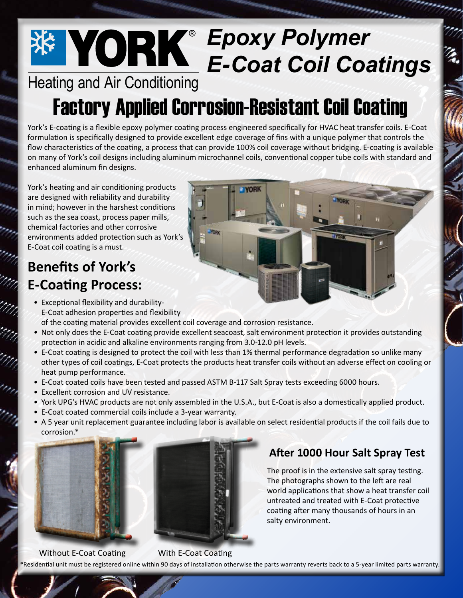# *Epoxy Polymer E-Coat Coil Coatings*

# Heating and Air Conditioning

# Factory Applied Corrosion-Resistant Coil Coating

York's E-coating is a flexible epoxy polymer coating process engineered specifically for HVAC heat transfer coils. E-Coat formulation is specifically designed to provide excellent edge coverage of fins with a unique polymer that controls the flow characteristics of the coating, a process that can provide 100% coil coverage without bridging. E-coating is available on many of York's coil designs including aluminum microchannel coils, conventional copper tube coils with standard and enhanced aluminum fin designs.

York's heating and air conditioning products are designed with reliability and durability in mind; however in the harshest conditions such as the sea coast, process paper mills, chemical factories and other corrosive environments added protection such as York's E-Coat coil coating is a must.

## **Benefits of York's E-Coating Process:**

- Exceptional flexibility and durability-E-Coat adhesion properties and flexibility
- of the coating material provides excellent coil coverage and corrosion resistance.
- Not only does the E-Coat coating provide excellent seacoast, salt environment protection it provides outstanding protection in acidic and alkaline environments ranging from 3.0-12.0 pH levels.
- E-Coat coating is designed to protect the coil with less than 1% thermal performance degradation so unlike many other types of coil coatings, E-Coat protects the products heat transfer coils without an adverse effect on cooling or heat pump performance.
- E-Coat coated coils have been tested and passed ASTM B-117 Salt Spray tests exceeding 6000 hours.
- Excellent corrosion and UV resistance.
- York UPG's HVAC products are not only assembled in the U.S.A., but E-Coat is also a domestically applied product.
- E-Coat coated commercial coils include a 3-year warranty.
- A 5 year unit replacement guarantee including labor is available on select residential products if the coil fails due to corrosion.\*





### **After 1000 Hour Salt Spray Test**

The proof is in the extensive salt spray testing. The photographs shown to the left are real world applications that show a heat transfer coil untreated and treated with E-Coat protective coating after many thousands of hours in an salty environment.

#### Without E-Coat Coating With E-Coat Coating

\*Residential unit must be registered online within 90 days of installation otherwise the parts warranty reverts back to a 5-year limited parts warranty.